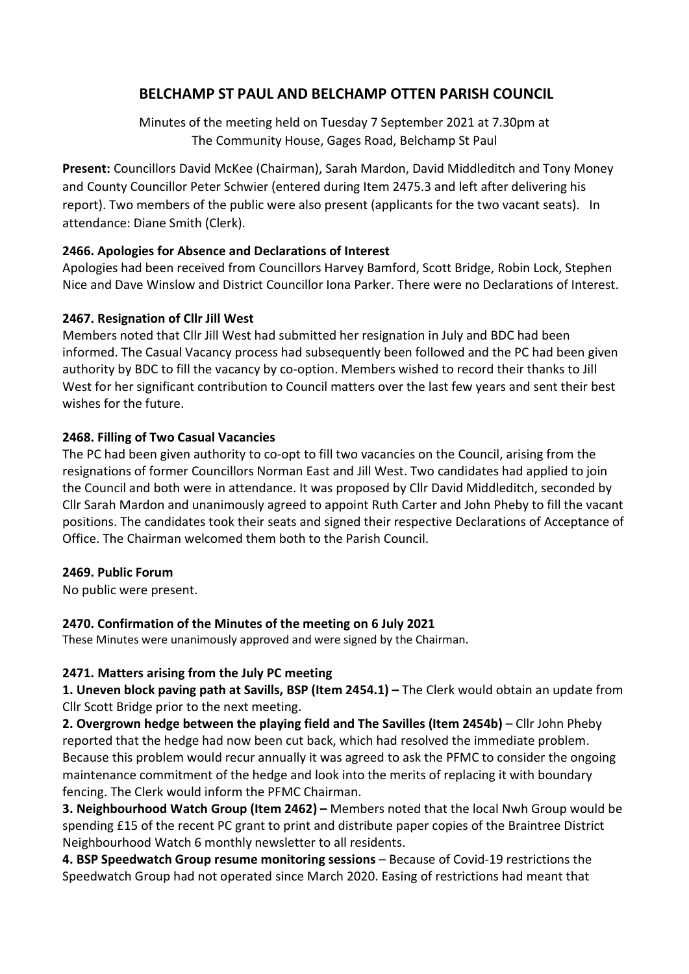# BELCHAMP ST PAUL AND BELCHAMP OTTEN PARISH COUNCIL

Minutes of the meeting held on Tuesday 7 September 2021 at 7.30pm at The Community House, Gages Road, Belchamp St Paul

Present: Councillors David McKee (Chairman), Sarah Mardon, David Middleditch and Tony Money and County Councillor Peter Schwier (entered during Item 2475.3 and left after delivering his report). Two members of the public were also present (applicants for the two vacant seats). In attendance: Diane Smith (Clerk).

### 2466. Apologies for Absence and Declarations of Interest

Apologies had been received from Councillors Harvey Bamford, Scott Bridge, Robin Lock, Stephen Nice and Dave Winslow and District Councillor Iona Parker. There were no Declarations of Interest.

### 2467. Resignation of Cllr Jill West

Members noted that Cllr Jill West had submitted her resignation in July and BDC had been informed. The Casual Vacancy process had subsequently been followed and the PC had been given authority by BDC to fill the vacancy by co-option. Members wished to record their thanks to Jill West for her significant contribution to Council matters over the last few years and sent their best wishes for the future.

### 2468. Filling of Two Casual Vacancies

The PC had been given authority to co-opt to fill two vacancies on the Council, arising from the resignations of former Councillors Norman East and Jill West. Two candidates had applied to join the Council and both were in attendance. It was proposed by Cllr David Middleditch, seconded by Cllr Sarah Mardon and unanimously agreed to appoint Ruth Carter and John Pheby to fill the vacant positions. The candidates took their seats and signed their respective Declarations of Acceptance of Office. The Chairman welcomed them both to the Parish Council.

### 2469. Public Forum

No public were present.

### 2470. Confirmation of the Minutes of the meeting on 6 July 2021

These Minutes were unanimously approved and were signed by the Chairman.

### 2471. Matters arising from the July PC meeting

1. Uneven block paving path at Savills, BSP (Item 2454.1) – The Clerk would obtain an update from Cllr Scott Bridge prior to the next meeting.

2. Overgrown hedge between the playing field and The Savilles (Item 2454b) – Cllr John Pheby reported that the hedge had now been cut back, which had resolved the immediate problem. Because this problem would recur annually it was agreed to ask the PFMC to consider the ongoing maintenance commitment of the hedge and look into the merits of replacing it with boundary fencing. The Clerk would inform the PFMC Chairman.

3. Neighbourhood Watch Group (Item 2462) – Members noted that the local Nwh Group would be spending £15 of the recent PC grant to print and distribute paper copies of the Braintree District Neighbourhood Watch 6 monthly newsletter to all residents.

4. BSP Speedwatch Group resume monitoring sessions – Because of Covid-19 restrictions the Speedwatch Group had not operated since March 2020. Easing of restrictions had meant that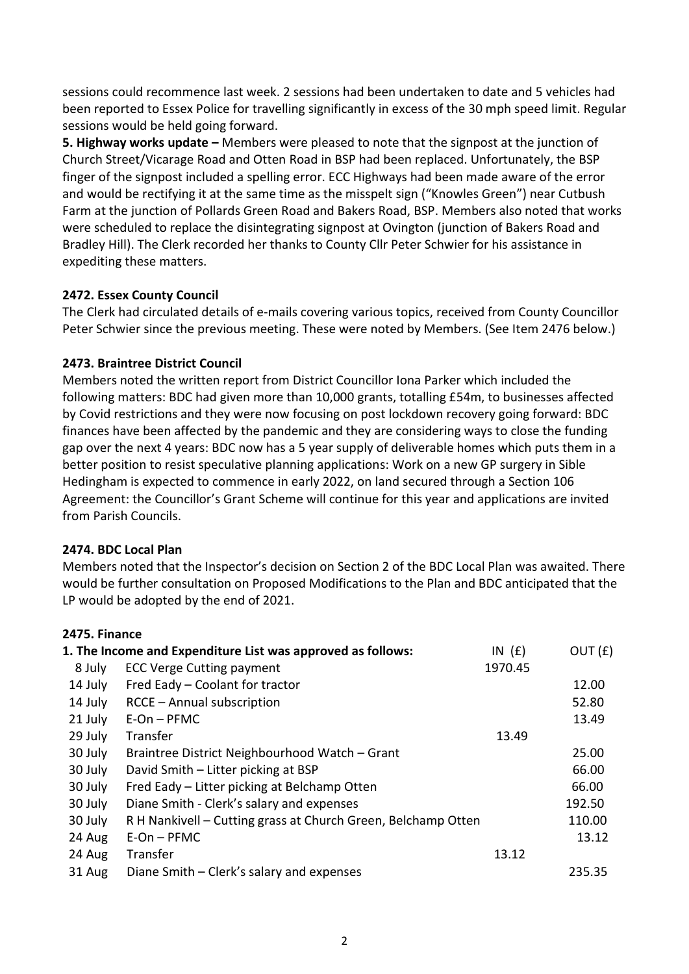sessions could recommence last week. 2 sessions had been undertaken to date and 5 vehicles had been reported to Essex Police for travelling significantly in excess of the 30 mph speed limit. Regular sessions would be held going forward.

5. Highway works update – Members were pleased to note that the signpost at the junction of Church Street/Vicarage Road and Otten Road in BSP had been replaced. Unfortunately, the BSP finger of the signpost included a spelling error. ECC Highways had been made aware of the error and would be rectifying it at the same time as the misspelt sign ("Knowles Green") near Cutbush Farm at the junction of Pollards Green Road and Bakers Road, BSP. Members also noted that works were scheduled to replace the disintegrating signpost at Ovington (junction of Bakers Road and Bradley Hill). The Clerk recorded her thanks to County Cllr Peter Schwier for his assistance in expediting these matters.

### 2472. Essex County Council

The Clerk had circulated details of e-mails covering various topics, received from County Councillor Peter Schwier since the previous meeting. These were noted by Members. (See Item 2476 below.)

### 2473. Braintree District Council

Members noted the written report from District Councillor Iona Parker which included the following matters: BDC had given more than 10,000 grants, totalling £54m, to businesses affected by Covid restrictions and they were now focusing on post lockdown recovery going forward: BDC finances have been affected by the pandemic and they are considering ways to close the funding gap over the next 4 years: BDC now has a 5 year supply of deliverable homes which puts them in a better position to resist speculative planning applications: Work on a new GP surgery in Sible Hedingham is expected to commence in early 2022, on land secured through a Section 106 Agreement: the Councillor's Grant Scheme will continue for this year and applications are invited from Parish Councils.

### 2474. BDC Local Plan

Members noted that the Inspector's decision on Section 2 of the BDC Local Plan was awaited. There would be further consultation on Proposed Modifications to the Plan and BDC anticipated that the LP would be adopted by the end of 2021.

### 2475. Finance

| 1. The Income and Expenditure List was approved as follows: |                                                               | IN $(E)$ | OUT(f) |
|-------------------------------------------------------------|---------------------------------------------------------------|----------|--------|
| 8 July                                                      | <b>ECC Verge Cutting payment</b>                              | 1970.45  |        |
| 14 July                                                     | Fred Eady - Coolant for tractor                               |          | 12.00  |
| 14 July                                                     | RCCE - Annual subscription                                    |          | 52.80  |
| 21 July                                                     | $E$ -On – PFMC                                                |          | 13.49  |
| 29 July                                                     | Transfer                                                      | 13.49    |        |
| 30 July                                                     | Braintree District Neighbourhood Watch - Grant                |          | 25.00  |
| 30 July                                                     | David Smith - Litter picking at BSP                           |          | 66.00  |
| 30 July                                                     | Fred Eady – Litter picking at Belchamp Otten                  |          | 66.00  |
| 30 July                                                     | Diane Smith - Clerk's salary and expenses                     |          | 192.50 |
| 30 July                                                     | R H Nankivell - Cutting grass at Church Green, Belchamp Otten |          | 110.00 |
| 24 Aug                                                      | $E$ -On – PFMC                                                |          | 13.12  |
| 24 Aug                                                      | Transfer                                                      | 13.12    |        |
| 31 Aug                                                      | Diane Smith – Clerk's salary and expenses                     |          | 235.35 |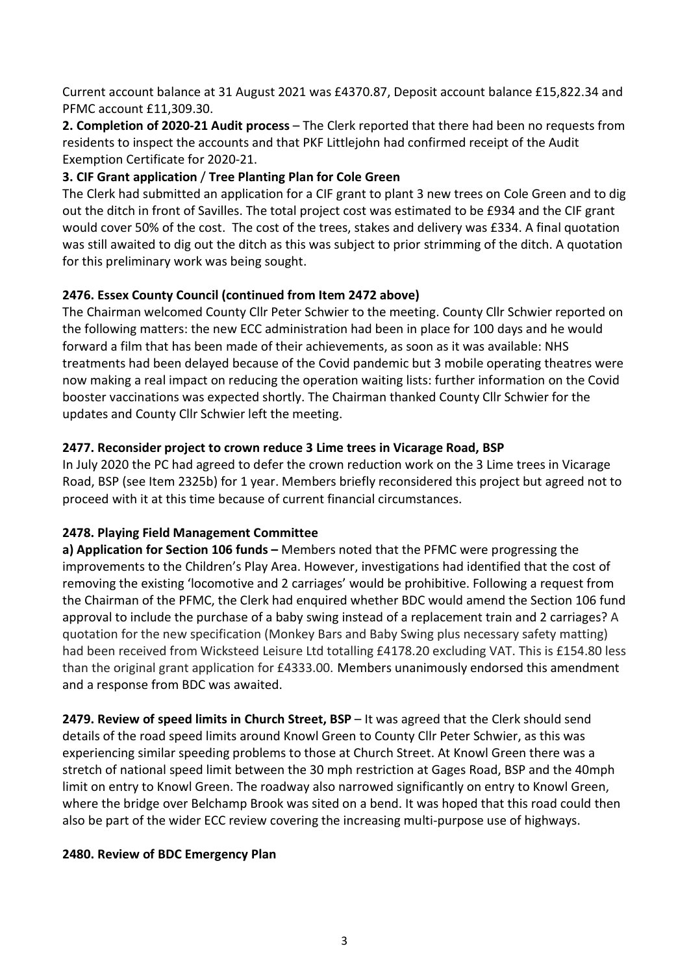Current account balance at 31 August 2021 was £4370.87, Deposit account balance £15,822.34 and PFMC account £11,309.30.

2. Completion of 2020-21 Audit process – The Clerk reported that there had been no requests from residents to inspect the accounts and that PKF Littlejohn had confirmed receipt of the Audit Exemption Certificate for 2020-21.

### 3. CIF Grant application / Tree Planting Plan for Cole Green

The Clerk had submitted an application for a CIF grant to plant 3 new trees on Cole Green and to dig out the ditch in front of Savilles. The total project cost was estimated to be £934 and the CIF grant would cover 50% of the cost. The cost of the trees, stakes and delivery was £334. A final quotation was still awaited to dig out the ditch as this was subject to prior strimming of the ditch. A quotation for this preliminary work was being sought.

### 2476. Essex County Council (continued from Item 2472 above)

The Chairman welcomed County Cllr Peter Schwier to the meeting. County Cllr Schwier reported on the following matters: the new ECC administration had been in place for 100 days and he would forward a film that has been made of their achievements, as soon as it was available: NHS treatments had been delayed because of the Covid pandemic but 3 mobile operating theatres were now making a real impact on reducing the operation waiting lists: further information on the Covid booster vaccinations was expected shortly. The Chairman thanked County Cllr Schwier for the updates and County Cllr Schwier left the meeting.

### 2477. Reconsider project to crown reduce 3 Lime trees in Vicarage Road, BSP

In July 2020 the PC had agreed to defer the crown reduction work on the 3 Lime trees in Vicarage Road, BSP (see Item 2325b) for 1 year. Members briefly reconsidered this project but agreed not to proceed with it at this time because of current financial circumstances.

# 2478. Playing Field Management Committee

a) Application for Section 106 funds – Members noted that the PFMC were progressing the improvements to the Children's Play Area. However, investigations had identified that the cost of removing the existing 'locomotive and 2 carriages' would be prohibitive. Following a request from the Chairman of the PFMC, the Clerk had enquired whether BDC would amend the Section 106 fund approval to include the purchase of a baby swing instead of a replacement train and 2 carriages? A quotation for the new specification (Monkey Bars and Baby Swing plus necessary safety matting) had been received from Wicksteed Leisure Ltd totalling £4178.20 excluding VAT. This is £154.80 less than the original grant application for £4333.00. Members unanimously endorsed this amendment and a response from BDC was awaited.

2479. Review of speed limits in Church Street, BSP – It was agreed that the Clerk should send details of the road speed limits around Knowl Green to County Cllr Peter Schwier, as this was experiencing similar speeding problems to those at Church Street. At Knowl Green there was a stretch of national speed limit between the 30 mph restriction at Gages Road, BSP and the 40mph limit on entry to Knowl Green. The roadway also narrowed significantly on entry to Knowl Green, where the bridge over Belchamp Brook was sited on a bend. It was hoped that this road could then also be part of the wider ECC review covering the increasing multi-purpose use of highways.

### 2480. Review of BDC Emergency Plan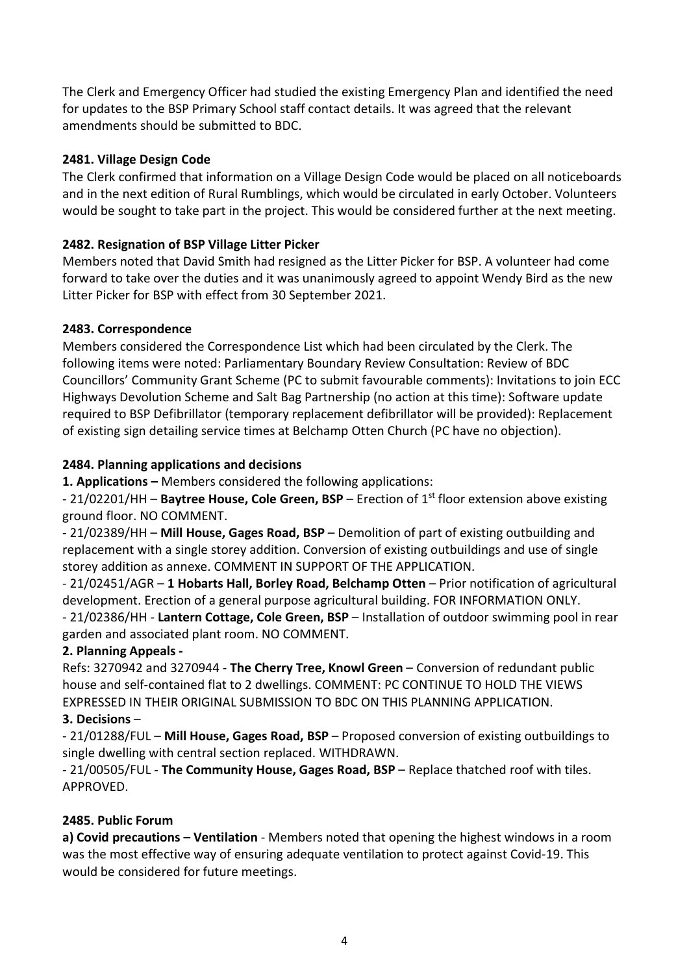The Clerk and Emergency Officer had studied the existing Emergency Plan and identified the need for updates to the BSP Primary School staff contact details. It was agreed that the relevant amendments should be submitted to BDC.

### 2481. Village Design Code

The Clerk confirmed that information on a Village Design Code would be placed on all noticeboards and in the next edition of Rural Rumblings, which would be circulated in early October. Volunteers would be sought to take part in the project. This would be considered further at the next meeting.

### 2482. Resignation of BSP Village Litter Picker

Members noted that David Smith had resigned as the Litter Picker for BSP. A volunteer had come forward to take over the duties and it was unanimously agreed to appoint Wendy Bird as the new Litter Picker for BSP with effect from 30 September 2021.

### 2483. Correspondence

Members considered the Correspondence List which had been circulated by the Clerk. The following items were noted: Parliamentary Boundary Review Consultation: Review of BDC Councillors' Community Grant Scheme (PC to submit favourable comments): Invitations to join ECC Highways Devolution Scheme and Salt Bag Partnership (no action at this time): Software update required to BSP Defibrillator (temporary replacement defibrillator will be provided): Replacement of existing sign detailing service times at Belchamp Otten Church (PC have no objection).

### 2484. Planning applications and decisions

1. Applications – Members considered the following applications:

- 21/02201/HH – Baytree House, Cole Green, BSP – Erection of 1<sup>st</sup> floor extension above existing ground floor. NO COMMENT.

- 21/02389/HH – Mill House, Gages Road, BSP – Demolition of part of existing outbuilding and replacement with a single storey addition. Conversion of existing outbuildings and use of single storey addition as annexe. COMMENT IN SUPPORT OF THE APPLICATION.

- 21/02451/AGR – 1 Hobarts Hall, Borley Road, Belchamp Otten – Prior notification of agricultural development. Erection of a general purpose agricultural building. FOR INFORMATION ONLY.

- 21/02386/HH - Lantern Cottage, Cole Green, BSP – Installation of outdoor swimming pool in rear garden and associated plant room. NO COMMENT.

# 2. Planning Appeals -

Refs: 3270942 and 3270944 - The Cherry Tree, Knowl Green – Conversion of redundant public house and self-contained flat to 2 dwellings. COMMENT: PC CONTINUE TO HOLD THE VIEWS EXPRESSED IN THEIR ORIGINAL SUBMISSION TO BDC ON THIS PLANNING APPLICATION.

# 3. Decisions –

- 21/01288/FUL – Mill House, Gages Road, BSP – Proposed conversion of existing outbuildings to single dwelling with central section replaced. WITHDRAWN.

- 21/00505/FUL - The Community House, Gages Road, BSP – Replace thatched roof with tiles. APPROVED.

### 2485. Public Forum

a) Covid precautions – Ventilation - Members noted that opening the highest windows in a room was the most effective way of ensuring adequate ventilation to protect against Covid-19. This would be considered for future meetings.